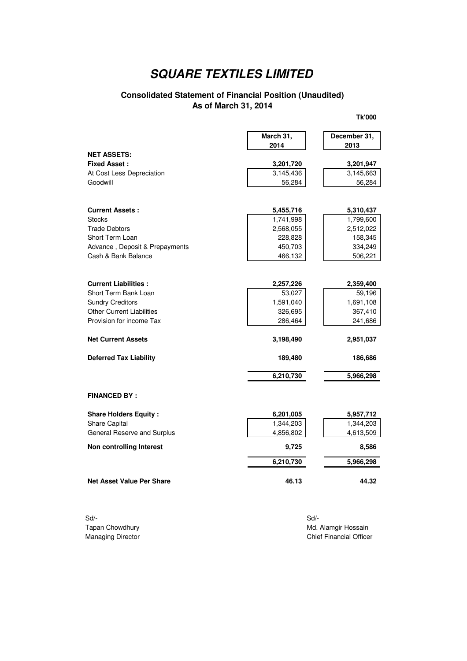### **Consolidated Statement of Financial Position (Unaudited) As of March 31, 2014**

**Tk'000**

|                                       | March 31,           | December 31,        |
|---------------------------------------|---------------------|---------------------|
|                                       | 2014                | 2013                |
| <b>NET ASSETS:</b>                    |                     |                     |
| <b>Fixed Asset:</b>                   | 3,201,720           | 3,201,947           |
| At Cost Less Depreciation<br>Goodwill | 3,145,436<br>56,284 | 3,145,663<br>56,284 |
|                                       |                     |                     |
| <b>Current Assets:</b>                | 5,455,716           | 5,310,437           |
| <b>Stocks</b>                         | 1,741,998           | 1,799,600           |
| <b>Trade Debtors</b>                  | 2,568,055           | 2,512,022           |
| Short Term Loan                       | 228,828             | 158,345             |
| Advance, Deposit & Prepayments        | 450,703             | 334,249             |
| Cash & Bank Balance                   | 466,132             | 506,221             |
| <b>Current Liabilities:</b>           | 2,257,226           | 2,359,400           |
| Short Term Bank Loan                  | 53,027              | 59,196              |
| <b>Sundry Creditors</b>               | 1,591,040           | 1,691,108           |
| <b>Other Current Liabilities</b>      | 326,695             | 367,410             |
| Provision for income Tax              | 286,464             | 241,686             |
|                                       |                     |                     |
| <b>Net Current Assets</b>             | 3,198,490           | 2,951,037           |
| <b>Deferred Tax Liability</b>         | 189,480             | 186,686             |
|                                       | 6,210,730           | 5,966,298           |
| <b>FINANCED BY:</b>                   |                     |                     |
| <b>Share Holders Equity:</b>          | 6,201,005           | 5,957,712           |
| <b>Share Capital</b>                  | 1,344,203           | 1,344,203           |
| General Reserve and Surplus           | 4,856,802           | 4,613,509           |
| Non controlling Interest              | 9,725               | 8,586               |
|                                       | 6,210,730           | 5,966,298           |
| <b>Net Asset Value Per Share</b>      | 46.13               | 44.32               |

Sd/- Sd/-

Tapan Chowdhury **Maxware Chowdhury** Maxware Maxware Maxware Maxware Maxware Maxware Maxware Maxware Maxware Maxware Maxware Maxware Maxware Maxware Maxware Maxware Maxware Maxware Maxware Maxware Maxware Maxware Maxware Ma **Chief Financial Officer**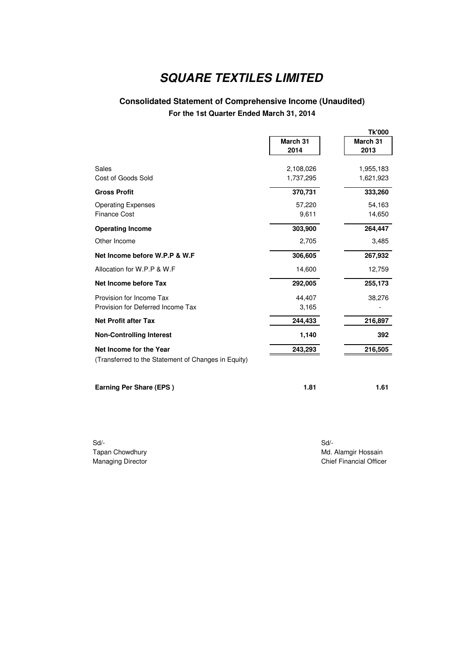## **Consolidated Statement of Comprehensive Income (Unaudited) For the 1st Quarter Ended March 31, 2014**

|                                                     |           | <b>Tk'000</b> |
|-----------------------------------------------------|-----------|---------------|
|                                                     | March 31  | March 31      |
|                                                     | 2014      | 2013          |
| Sales                                               | 2,108,026 | 1,955,183     |
| Cost of Goods Sold                                  | 1,737,295 | 1,621,923     |
| <b>Gross Profit</b>                                 | 370,731   | 333,260       |
| <b>Operating Expenses</b>                           | 57,220    | 54,163        |
| <b>Finance Cost</b>                                 | 9,611     | 14,650        |
| <b>Operating Income</b>                             | 303,900   | 264,447       |
| Other Income                                        | 2,705     | 3,485         |
| Net Income before W.P.P & W.F                       | 306,605   | 267,932       |
| Allocation for W.P.P & W.F                          | 14,600    | 12,759        |
| Net Income before Tax                               | 292,005   | 255,173       |
| Provision for Income Tax                            | 44,407    | 38,276        |
| Provision for Deferred Income Tax                   | 3,165     |               |
| <b>Net Profit after Tax</b>                         | 244,433   | 216,897       |
| <b>Non-Controlling Interest</b>                     | 1,140     | 392           |
| Net Income for the Year                             | 243,293   | 216,505       |
| (Transferred to the Statement of Changes in Equity) |           |               |
|                                                     |           |               |

**Earning Per Share (EPS ) 1.81 1.61 1.61** 

Sd/- Sd/-

Tapan Chowdhury **Music Channels Channels Channels Channels Channels Channels Music Channels Music Channels Music Channels Music Channels Music Channels Music Channels Music Channels Music Channels Music Channels Music Chan** Managing Director **Chief Financial Officer** Chief Financial Officer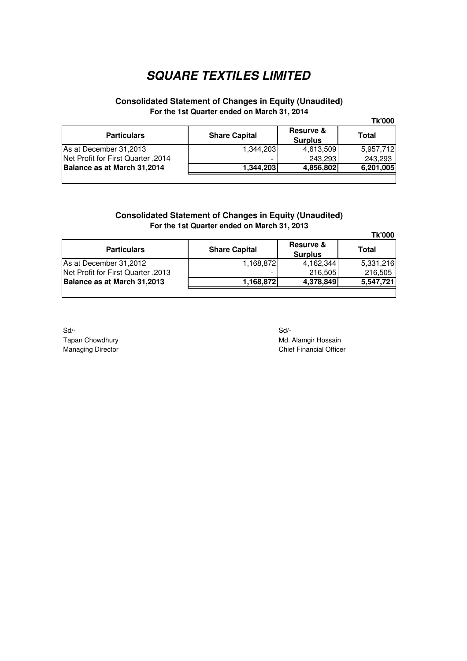### **Consolidated Statement of Changes in Equity (Unaudited) For the 1st Quarter ended on March 31, 2014**

|                                    |                      |                             | <b>Tk'000</b> |
|------------------------------------|----------------------|-----------------------------|---------------|
| <b>Particulars</b>                 | <b>Share Capital</b> | Resurve &<br><b>Surplus</b> | Total         |
| As at December 31,2013             | 1.344.203            | 4,613,509                   | 5,957,712     |
| Net Profit for First Quarter, 2014 |                      | 243,293                     | 243,293       |
| Balance as at March 31,2014        | 1,344,203            | 4,856,802                   | 6,201,005     |
|                                    |                      |                             |               |

### **Consolidated Statement of Changes in Equity (Unaudited) For the 1st Quarter ended on March 31, 2013**

|                                    |                      |                                        | <b>Tk'000</b> |
|------------------------------------|----------------------|----------------------------------------|---------------|
| <b>Particulars</b>                 | <b>Share Capital</b> | <b>Resurve &amp;</b><br><b>Surplus</b> | Total         |
| As at December 31,2012             | 1,168,872            | 4,162,344                              | 5,331,216     |
| Net Profit for First Quarter, 2013 |                      | 216,505                                | 216,505       |
| Balance as at March 31,2013        | 1,168,872            | 4,378,849                              | 5,547,721     |
|                                    |                      |                                        |               |

Sd/- Sd/- Tapan Chowdhury **Mullet and Strategies and Strategies and Strategies and Mullet Alamgir Hossain** Managing Director **Chief Financial Officer** Chief Financial Officer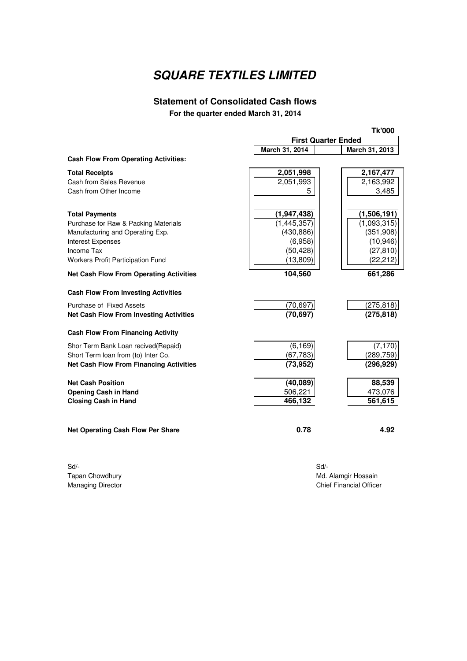## **Statement of Consolidated Cash flows For the quarter ended March 31, 2014**

|                                                | <b>Tk'000</b>              |                |  |
|------------------------------------------------|----------------------------|----------------|--|
|                                                | <b>First Quarter Ended</b> |                |  |
|                                                | March 31, 2014             | March 31, 2013 |  |
| <b>Cash Flow From Operating Activities:</b>    |                            |                |  |
| <b>Total Receipts</b>                          | 2,051,998                  | 2,167,477      |  |
| Cash from Sales Revenue                        | 2,051,993                  | 2,163,992      |  |
| Cash from Other Income                         | 5                          | 3,485          |  |
|                                                |                            |                |  |
| <b>Total Payments</b>                          | (1, 947, 438)              | (1,506,191)    |  |
| Purchase for Raw & Packing Materials           | (1,445,357)                | (1,093,315)    |  |
| Manufacturing and Operating Exp.               | (430, 886)                 | (351,908)      |  |
| Interest Expenses                              | (6,958)                    | (10, 946)      |  |
| Income Tax                                     | (50, 428)                  | (27, 810)      |  |
| Workers Profit Participation Fund              | (13,809)                   | (22, 212)      |  |
| <b>Net Cash Flow From Operating Activities</b> | 104,560                    | 661,286        |  |
| <b>Cash Flow From Investing Activities</b>     |                            |                |  |
| Purchase of Fixed Assets                       | (70, 697)                  | (275, 818)     |  |
| <b>Net Cash Flow From Investing Activities</b> | (70, 697)                  | (275, 818)     |  |
|                                                |                            |                |  |
| <b>Cash Flow From Financing Activity</b>       |                            |                |  |
| Shor Term Bank Loan recived(Repaid)            | (6, 169)                   | (7, 170)       |  |
| Short Term loan from (to) Inter Co.            | (67, 783)                  | (289, 759)     |  |
| <b>Net Cash Flow From Financing Activities</b> | (73, 952)                  | (296, 929)     |  |
| <b>Net Cash Position</b>                       | (40, 089)                  | 88,539         |  |
| <b>Opening Cash in Hand</b>                    | 506,221                    | 473,076        |  |
| <b>Closing Cash in Hand</b>                    | 466,132                    | 561,615        |  |
|                                                |                            |                |  |
| <b>Net Operating Cash Flow Per Share</b>       | 0.78                       | 4.92           |  |
|                                                |                            |                |  |
|                                                |                            |                |  |

Sd/- Sd/-

Tapan Chowdhury Md. Alamgir Hossain<br>Managing Director Managing Director Chief Financial Office **Chief Financial Officer**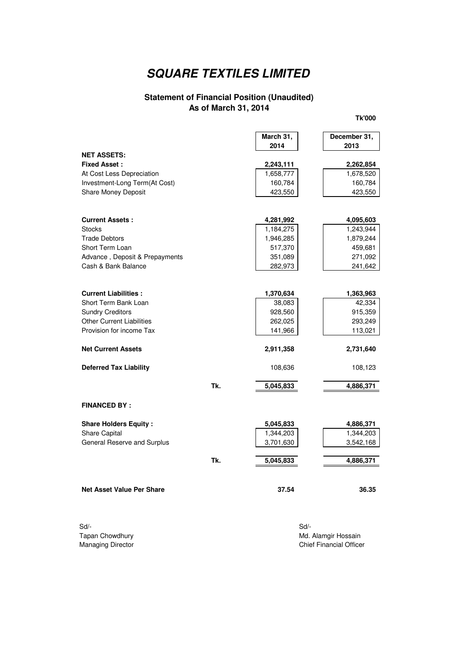#### **Statement of Financial Position (Unaudited) As of March 31, 2014**

**March 31, December 31, 2014 2013 NET ASSETS: Fixed Asset : 2,262,854 2,243,111**  At Cost Less Depreciation 1,658,777 | 1,658,777 | 1,678,520 Investment-Long Term(At Cost) 160,784 160,784 160,784 Share Money Deposit 23,550 423,550 **Current Assets : 4,095,603 4,281,992**  Stocks 1,243,944 1,184,275 Trade Debtors 1,946,285 1,946,285 1,879,244 Short Term Loan 459,681 617,370 517,370 459,681 Advance, Deposit & Prepayments 1988 271,092 Cash & Bank Balance 282,973 282,973 241,642 **Current Liabilities : 1,363,963 1,370,634**  Short Term Bank Loan 42,334 Sundry Creditors **615,359** 928,560 928,560 928,560 Other Current Liabilities 262,025 262,025 Provision for income Tax 113,021 141,966 141,966 113,021 **Net Current Assets 2,731,640 2,911,358 Deferred Tax Liability 108,636** 108,123 **Tk. 5,045,833 4,886,371 FINANCED BY : Share Holders Equity : 4,886,371 5,045,833**  Share Capital 1,344,203 1,344,203 1,344,203 1,344,203 General Reserve and Surplus 3,542,168 3,701,630 3,542,168 **Tk. 5,045,833 4,886,371** 

**Net Asset Value Per Share 36.35 37.54 36.35** 

Sd/- Sd/-

Tapan Chowdhury **Music Alamgir Hossain** Music Music Music Music Music Music Music Music Music Music Music Music Music Music Music Music Music Music Music Music Music Music Music Music Music Music Music Music Music Music Mu Managing Director **Chief Financial Officer** Chief Financial Officer

**Tk'000**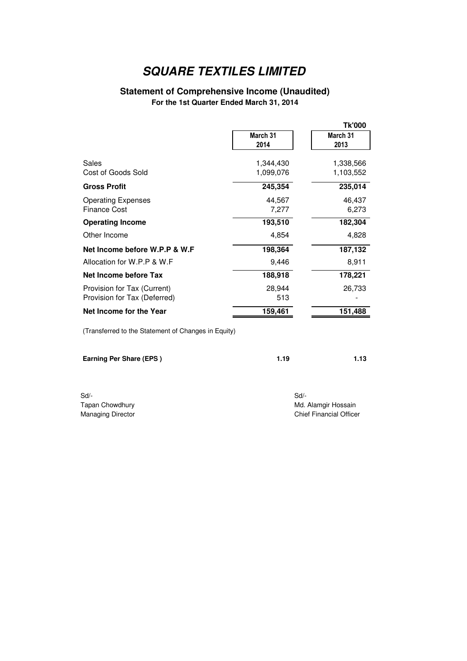## **Statement of Comprehensive Income (Unaudited)**

**For the 1st Quarter Ended March 31, 2014**

|                                                             |                        | Tk'000                 |
|-------------------------------------------------------------|------------------------|------------------------|
|                                                             | March 31<br>2014       | March 31<br>2013       |
| Sales<br>Cost of Goods Sold                                 | 1,344,430<br>1,099,076 | 1,338,566<br>1,103,552 |
| <b>Gross Profit</b>                                         | 245,354                | 235,014                |
| <b>Operating Expenses</b><br><b>Finance Cost</b>            | 44,567<br>7,277        | 46,437<br>6,273        |
| <b>Operating Income</b>                                     | 193,510                | 182,304                |
| Other Income                                                | 4,854                  | 4,828                  |
| Net Income before W.P.P & W.F                               | 198,364                | 187,132                |
| Allocation for W.P.P & W.F                                  | 9,446                  | 8,911                  |
| Net Income before Tax                                       | 188,918                | 178,221                |
| Provision for Tax (Current)<br>Provision for Tax (Deferred) | 28,944<br>513          | 26,733                 |
| Net Income for the Year                                     | 159,461                | 151,488                |
|                                                             |                        |                        |

(Transferred to the Statement of Changes in Equity)

| <b>Earning Per Share (EPS)</b> | 1.19 | 1.13 |
|--------------------------------|------|------|
|                                |      |      |

Sd/- Sd/-

Tapan Chowdhury **Multiple State Choice and State Choice Choice Choice Choice Choice Multiple Article Choice Choice Choice Choice Multiple Article Choice Multiple Article Choice Choice Choice Choice Choice Choice Choice Cho** Managing Director **Chief Financial Officer** Chief Financial Officer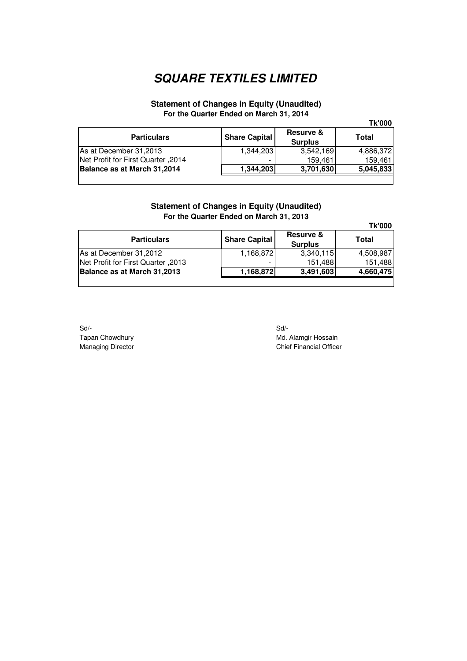#### **Statement of Changes in Equity (Unaudited) For the Quarter Ended on March 31, 2014**

|  |  | ۱ |  |
|--|--|---|--|
|  |  |   |  |

| <b>Particulars</b>                 | <b>Share Capital</b> | <b>Resurve &amp;</b><br><b>Surplus</b> | Total     |
|------------------------------------|----------------------|----------------------------------------|-----------|
| As at December 31,2013             | 1.344.203            | 3.542.169                              | 4,886,372 |
| Net Profit for First Quarter, 2014 | -                    | 159,461                                | 159.461   |
| Balance as at March 31,2014        | 1,344,203            | 3,701,630                              | 5,045,833 |
|                                    |                      |                                        |           |

### **Statement of Changes in Equity (Unaudited) For the Quarter Ended on March 31, 2013**

**Tk'000**

| <b>Particulars</b>                 | <b>Share Capital</b> | <b>Resurve &amp;</b><br><b>Surplus</b> | <b>Total</b> |
|------------------------------------|----------------------|----------------------------------------|--------------|
| As at December 31,2012             | 1,168,872            | 3,340,115                              | 4,508,987    |
| Net Profit for First Quarter, 2013 |                      | 151,488                                | 151,488      |
| Balance as at March 31,2013        | 1,168,872            | 3,491,603                              | 4,660,475    |
|                                    |                      |                                        |              |

Sd/- Sd/-

Tapan Chowdhury Md. Alamgir Hossain<br>Managing Director Managing Director Chief Financial Office **Chief Financial Officer**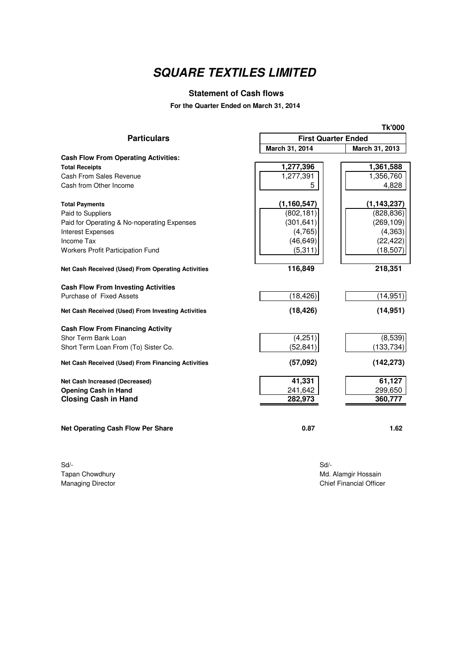### **Statement of Cash flows**

**For the Quarter Ended on March 31, 2014**

|                                                    |                            | <b>Tk'000</b>  |
|----------------------------------------------------|----------------------------|----------------|
| <b>Particulars</b>                                 | <b>First Quarter Ended</b> |                |
|                                                    | March 31, 2014             | March 31, 2013 |
| <b>Cash Flow From Operating Activities:</b>        |                            |                |
| <b>Total Receipts</b>                              | 1,277,396                  | 1,361,588      |
| Cash From Sales Revenue                            | 1,277,391                  | 1,356,760      |
| Cash from Other Income                             | 5                          | 4,828          |
| <b>Total Payments</b>                              | (1, 160, 547)              | (1, 143, 237)  |
| Paid to Suppliers                                  | (802, 181)                 | (828, 836)     |
| Paid for Operating & No-noperating Expenses        | (301, 641)                 | (269, 109)     |
| <b>Interest Expenses</b>                           | (4,765)                    | (4, 363)       |
| Income Tax                                         | (46, 649)                  | (22, 422)      |
| <b>Workers Profit Participation Fund</b>           | (5,311)                    | (18, 507)      |
| Net Cash Received (Used) From Operating Activities | 116,849                    | 218,351        |
| <b>Cash Flow From Investing Activities</b>         |                            |                |
| Purchase of Fixed Assets                           | (18, 426)                  | (14, 951)      |
| Net Cash Received (Used) From Investing Activities | (18, 426)                  | (14, 951)      |
| <b>Cash Flow From Financing Activity</b>           |                            |                |
| Shor Term Bank Loan                                | (4,251)                    | (8,539)        |
| Short Term Loan From (To) Sister Co.               | (52, 841)                  | (133, 734)     |
| Net Cash Received (Used) From Financing Activities | (57,092)                   | (142, 273)     |
| <b>Net Cash Increased (Decreased)</b>              | 41,331                     | 61,127         |
| <b>Opening Cash in Hand</b>                        | 241,642                    | 299,650        |
| <b>Closing Cash in Hand</b>                        | 282,973                    | 360,777        |
| <b>Net Operating Cash Flow Per Share</b>           | 0.87                       | 1.62           |

Sd/- Sd/-

Tapan Chowdhury Md. Alamgir Hossain<br>
Managing Director Chief Financial Office **Chief Financial Officer**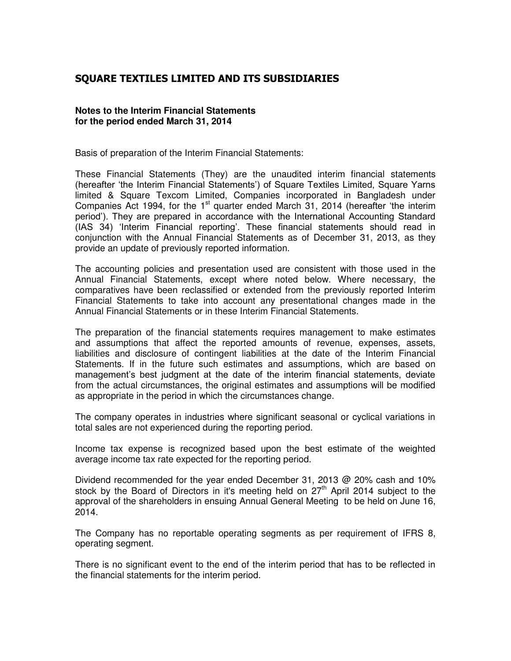### **SQUARE TEXTILES LIMITED AND ITS SUBSIDIARIES**

#### **Notes to the Interim Financial Statements for the period ended March 31, 2014**

Basis of preparation of the Interim Financial Statements:

These Financial Statements (They) are the unaudited interim financial statements (hereafter 'the Interim Financial Statements') of Square Textiles Limited, Square Yarns limited & Square Texcom Limited, Companies incorporated in Bangladesh under Companies Act 1994, for the 1<sup>st</sup> quarter ended March 31, 2014 (hereafter 'the interim period'). They are prepared in accordance with the International Accounting Standard (IAS 34) 'Interim Financial reporting'. These financial statements should read in conjunction with the Annual Financial Statements as of December 31, 2013, as they provide an update of previously reported information.

The accounting policies and presentation used are consistent with those used in the Annual Financial Statements, except where noted below. Where necessary, the comparatives have been reclassified or extended from the previously reported Interim Financial Statements to take into account any presentational changes made in the Annual Financial Statements or in these Interim Financial Statements.

The preparation of the financial statements requires management to make estimates and assumptions that affect the reported amounts of revenue, expenses, assets, liabilities and disclosure of contingent liabilities at the date of the Interim Financial Statements. If in the future such estimates and assumptions, which are based on management's best judgment at the date of the interim financial statements, deviate from the actual circumstances, the original estimates and assumptions will be modified as appropriate in the period in which the circumstances change.

The company operates in industries where significant seasonal or cyclical variations in total sales are not experienced during the reporting period.

Income tax expense is recognized based upon the best estimate of the weighted average income tax rate expected for the reporting period.

Dividend recommended for the year ended December 31, 2013 @ 20% cash and 10% stock by the Board of Directors in it's meeting held on  $27<sup>th</sup>$  April 2014 subject to the approval of the shareholders in ensuing Annual General Meeting to be held on June 16, 2014.

The Company has no reportable operating segments as per requirement of IFRS 8, operating segment.

There is no significant event to the end of the interim period that has to be reflected in the financial statements for the interim period.